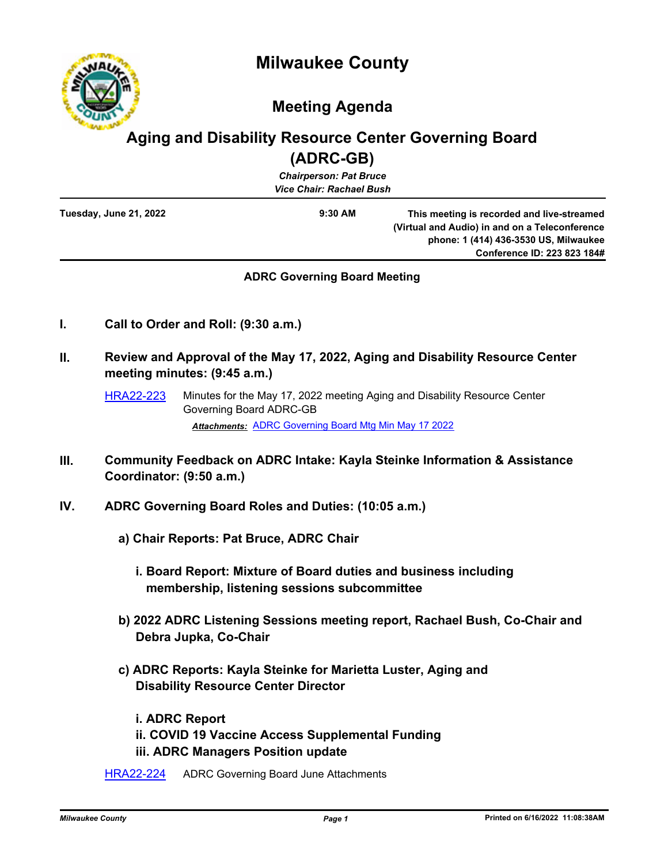



# **Meeting Agenda**

## **Aging and Disability Resource Center Governing Board (ADRC-GB)**

| $\cdots \cdots \cdots$<br><b>Chairperson: Pat Bruce</b><br><b>Vice Chair: Rachael Bush</b> |           |                                                                                                                                                                      |
|--------------------------------------------------------------------------------------------|-----------|----------------------------------------------------------------------------------------------------------------------------------------------------------------------|
| Tuesday, June 21, 2022                                                                     | $9:30$ AM | This meeting is recorded and live-streamed<br>(Virtual and Audio) in and on a Teleconference<br>phone: 1 (414) 436-3530 US, Milwaukee<br>Conference ID: 223 823 184# |

## **ADRC Governing Board Meeting**

- **I. Call to Order and Roll: (9:30 a.m.)**
- **II. Review and Approval of the May 17, 2022, Aging and Disability Resource Center meeting minutes: (9:45 a.m.)**
	- [HRA22-223](http://milwaukeecounty.legistar.com/gateway.aspx?m=l&id=/matter.aspx?key=12474) Minutes for the May 17, 2022 meeting Aging and Disability Resource Center Governing Board ADRC-GB *Attachments:* [ADRC Governing Board Mtg Min May 17 2022](http://MilwaukeeCounty.legistar.com/gateway.aspx?M=F&ID=8a9dd5a9-0b13-4147-823f-5528b6a6421f.pdf)

**III. Community Feedback on ADRC Intake: Kayla Steinke Information & Assistance** 

**Coordinator: (9:50 a.m.)**

- **IV. ADRC Governing Board Roles and Duties: (10:05 a.m.)**
	- **a) Chair Reports: Pat Bruce, ADRC Chair**
		- **i. Board Report: Mixture of Board duties and business including membership, listening sessions subcommittee**
	- **b) 2022 ADRC Listening Sessions meeting report, Rachael Bush, Co-Chair and Debra Jupka, Co-Chair**
	- **c) ADRC Reports: Kayla Steinke for Marietta Luster, Aging and Disability Resource Center Director**

 **i. ADRC Report ii. COVID 19 Vaccine Access Supplemental Funding iii. ADRC Managers Position update**

[HRA22-224](http://milwaukeecounty.legistar.com/gateway.aspx?m=l&id=/matter.aspx?key=12475) ADRC Governing Board June Attachments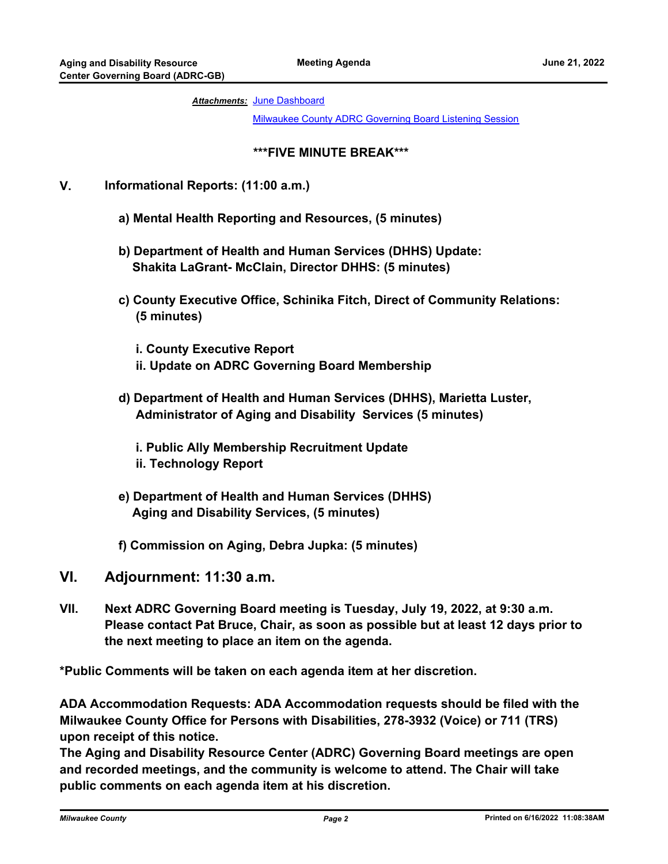#### Attachments: [June Dashboard](http://MilwaukeeCounty.legistar.com/gateway.aspx?M=F&ID=4b499341-5bc5-4824-b858-c8ffe66ed705.pdf)

[Milwaukee County ADRC Governing Board Listening Session](http://MilwaukeeCounty.legistar.com/gateway.aspx?M=F&ID=bc8b47b9-5a53-4f3a-a5ea-f57480f8f783.pdf)

### **\*\*\*FIVE MINUTE BREAK\*\*\***

## **V. Informational Reports: (11:00 a.m.)**

- **a) Mental Health Reporting and Resources, (5 minutes)**
- **b) Department of Health and Human Services (DHHS) Update: Shakita LaGrant- McClain, Director DHHS: (5 minutes)**
- **c) County Executive Office, Schinika Fitch, Direct of Community Relations: (5 minutes)**
	- **i. County Executive Report ii. Update on ADRC Governing Board Membership**
- **d) Department of Health and Human Services (DHHS), Marietta Luster, Administrator of Aging and Disability Services (5 minutes)**
	- **i. Public Ally Membership Recruitment Update ii. Technology Report**
- **e) Department of Health and Human Services (DHHS) Aging and Disability Services, (5 minutes)**
- **f) Commission on Aging, Debra Jupka: (5 minutes)**
- **VI. Adjournment: 11:30 a.m.**
- **VII. Next ADRC Governing Board meeting is Tuesday, July 19, 2022, at 9:30 a.m. Please contact Pat Bruce, Chair, as soon as possible but at least 12 days prior to the next meeting to place an item on the agenda.**

**\*Public Comments will be taken on each agenda item at her discretion.**

**ADA Accommodation Requests: ADA Accommodation requests should be filed with the Milwaukee County Office for Persons with Disabilities, 278-3932 (Voice) or 711 (TRS) upon receipt of this notice.**

**The Aging and Disability Resource Center (ADRC) Governing Board meetings are open and recorded meetings, and the community is welcome to attend. The Chair will take public comments on each agenda item at his discretion.**